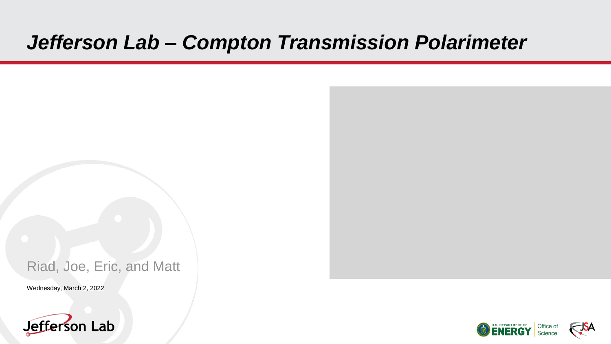# *Jefferson Lab – Compton Transmission Polarimeter*

#### Riad, Joe, Eric, and Matt

Wednesday, March 2, 2022





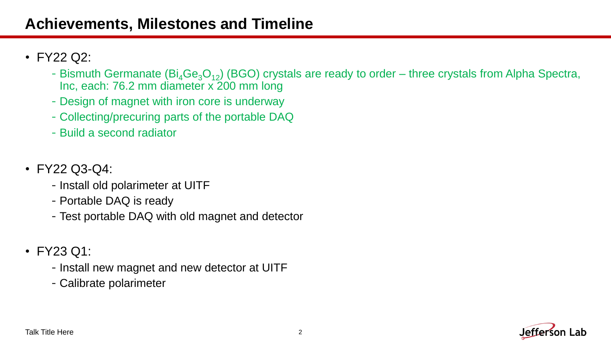## **Achievements, Milestones and Timeline**

- FY22 Q2:
	- Bismuth Germanate  $(Bi_4Ge_3O_{12})$  (BGO) crystals are ready to order three crystals from Alpha Spectra, Inc, each: 76.2 mm diameter x 200 mm long
	- -Design of magnet with iron core is underway
	- -Collecting/precuring parts of the portable DAQ
	- -Build a second radiator
- FY22 Q3-Q4:
	- -Install old polarimeter at UITF
	- -Portable DAQ is ready
	- -Test portable DAQ with old magnet and detector
- FY23 Q1:
	- -Install new magnet and new detector at UITF
	- -Calibrate polarimeter

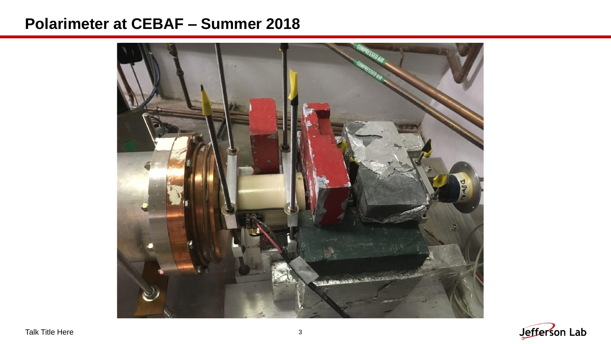#### **Polarimeter at CEBAF – Summer 2018**



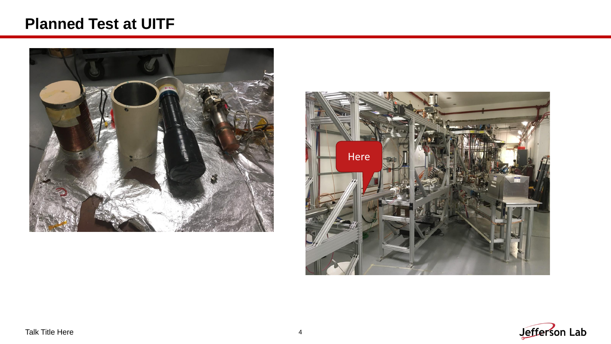### **Planned Test at UITF**





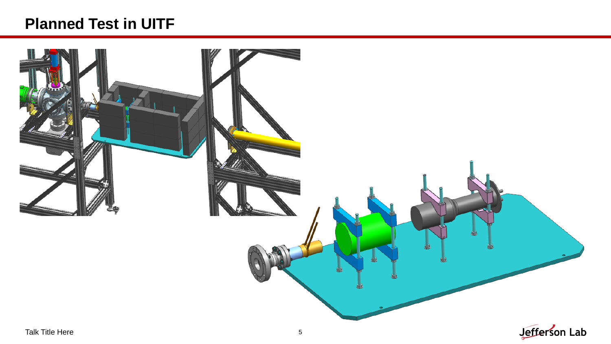## **Planned Test in UITF**

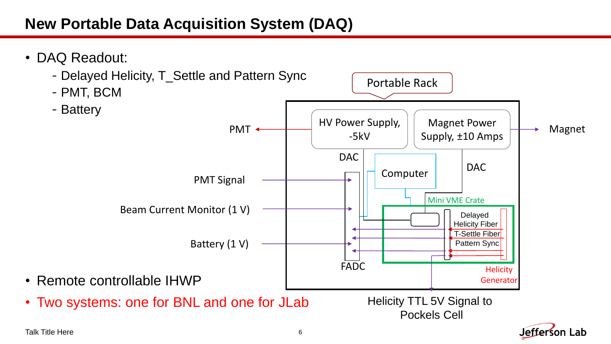## **New Portable Data Acquisition System (DAQ)**



Talk Title Here 6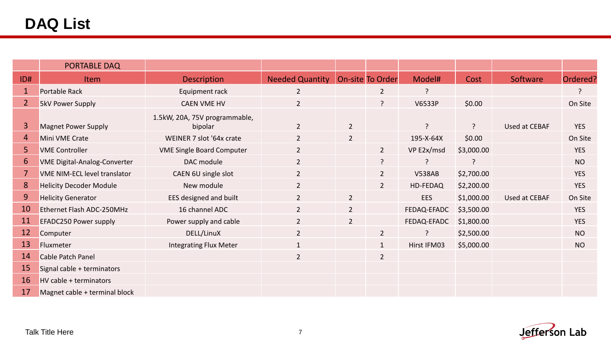|                | PORTABLE DAQ                        |                                          |                        |                |                  |               |            |               |            |
|----------------|-------------------------------------|------------------------------------------|------------------------|----------------|------------------|---------------|------------|---------------|------------|
| ID#            | <b>Item</b>                         | <b>Description</b>                       | <b>Needed Quantity</b> |                | On-site To Order | Model#        | Cost       | Software      | Ordered?   |
| $\mathbf{1}$   | Portable Rack                       | Equipment rack                           | $\overline{2}$         |                | $\overline{2}$   | ?             |            |               | ?          |
| $\overline{2}$ | <b>5kV Power Supply</b>             | <b>CAEN VME HV</b>                       | $\overline{2}$         |                | ?                | V6533P        | \$0.00     |               | On Site    |
| 3              | <b>Magnet Power Supply</b>          | 1.5kW, 20A, 75V programmable,<br>bipolar | $\overline{2}$         | $\overline{2}$ |                  | $\mathcal{L}$ | ?          | Used at CEBAF | <b>YES</b> |
| 4              | Mini VME Crate                      | WEINER 7 slot '64x crate                 | $\overline{2}$         | $\overline{2}$ |                  | 195-X-64X     | \$0.00     |               | On Site    |
| 5              | <b>VME Controller</b>               | <b>VME Single Board Computer</b>         | $\overline{2}$         |                | $2^{\circ}$      | VP E2x/msd    | \$3,000.00 |               | <b>YES</b> |
| 6              | <b>VME Digital-Analog-Converter</b> | DAC module                               | $\overline{2}$         |                | ?                | $\mathcal{P}$ | ς          |               | <b>NO</b>  |
| 7              | VME NIM-ECL level translator        | CAEN 6U single slot                      | $\overline{2}$         |                | 2 <sup>1</sup>   | <b>V538AB</b> | \$2,700.00 |               | <b>YES</b> |
| 8              | <b>Helicity Decoder Module</b>      | New module                               | $\overline{2}$         |                | 2 <sup>1</sup>   | HD-FEDAQ      | \$2,200.00 |               | <b>YES</b> |
| 9              | <b>Helicity Generator</b>           | EES designed and built                   | $\overline{2}$         | $\overline{2}$ |                  | <b>EES</b>    | \$1,000.00 | Used at CEBAF | On Site    |
| 10             | Ethernet Flash ADC-250MHz           | 16 channel ADC                           | $\overline{2}$         | $\overline{2}$ |                  | FEDAQ-EFADC   | \$3,500.00 |               | <b>YES</b> |
| 11             | <b>EFADC250 Power supply</b>        | Power supply and cable                   | $\overline{2}$         | $\overline{2}$ |                  | FEDAQ-EFADC   | \$1,800.00 |               | <b>YES</b> |
| 12             | Computer                            | DELL/LinuX                               | $\overline{2}$         |                | $\overline{2}$   | $\mathbf{P}$  | \$2,500.00 |               | <b>NO</b>  |
| 13             | Fluxmeter                           | <b>Integrating Flux Meter</b>            | $\mathbf{1}$           |                | 1                | Hirst IFM03   | \$5,000.00 |               | <b>NO</b>  |
| 14             | Cable Patch Panel                   |                                          | $\overline{2}$         |                | $\overline{2}$   |               |            |               |            |
| 15             | Signal cable + terminators          |                                          |                        |                |                  |               |            |               |            |
| 16             | HV cable + terminators              |                                          |                        |                |                  |               |            |               |            |
| 17             | Magnet cable + terminal block       |                                          |                        |                |                  |               |            |               |            |